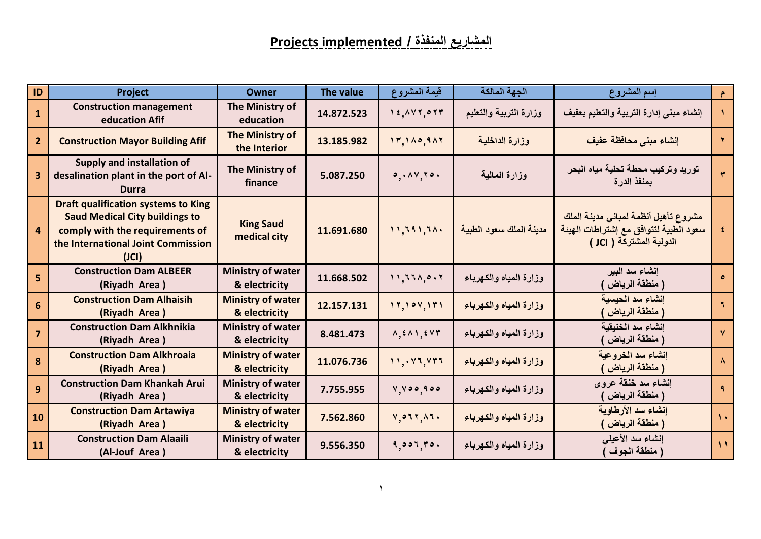| ID               | <b>Project</b>                                                                                                                                                        | <b>Owner</b>                              | The value  | قيمة المشروع                                | الجهة المالكة           | إسم المشروع                                                                                                | $\bullet$      |
|------------------|-----------------------------------------------------------------------------------------------------------------------------------------------------------------------|-------------------------------------------|------------|---------------------------------------------|-------------------------|------------------------------------------------------------------------------------------------------------|----------------|
| $\mathbf{1}$     | <b>Construction management</b><br>education Afif                                                                                                                      | The Ministry of<br>education              | 14.872.523 | 14,147,077                                  | وزارة التربية والتعليم  | إنشاء مبنى إدارة التربية والتعليم بعفيف                                                                    |                |
| $\mathbf{2}$     | <b>Construction Mayor Building Afif</b>                                                                                                                               | The Ministry of<br>the Interior           | 13.185.982 | 17,110,911                                  | وزارة الداخلية          | إنشاء مبنى محافظة عفيف                                                                                     |                |
|                  | <b>Supply and installation of</b><br>desalination plant in the port of Al-<br><b>Durra</b>                                                                            | The Ministry of<br>finance                | 5.087.250  | 0.11170.                                    | وزارة المالية           | توريد وتركيب محطة تحلية مياه البحر<br>بمنفذ الدرة                                                          | $\overline{r}$ |
| 4                | <b>Draft qualification systems to King</b><br><b>Saud Medical City buildings to</b><br>comply with the requirements of<br>the International Joint Commission<br>(JCI) | <b>King Saud</b><br>medical city          | 11.691.680 | 11,791,74.                                  | مدينة الملك سعود الطبية | مشروع تأهيل أنظمة لمبانى مدينة الملك<br>سعود الطبية لتتوافق مع إشتراطات الهيئة<br>الدولية المشتركة ( JCI ) | $\pmb{\xi}$    |
| 5                | <b>Construction Dam ALBEER</b><br>(Riyadh Area)                                                                                                                       | <b>Ministry of water</b><br>& electricity | 11.668.502 | 11,771,0.7                                  | وزارة المياه والكهرباء  | إنشاء سد البير<br>( منطقة الرياض                                                                           | $\bullet$      |
| 6                | <b>Construction Dam Alhaisih</b><br>(Riyadh Area)                                                                                                                     | <b>Ministry of water</b><br>& electricity | 12.157.131 | 11, 101, 171                                | وزارة المياه والكهرباء  | إنشاء سد الحيسية<br>( منطقة الرياض                                                                         | ٦              |
| $\overline{7}$   | <b>Construction Dam Alkhnikia</b><br>(Riyadh Area)                                                                                                                    | <b>Ministry of water</b><br>& electricity | 8.481.473  | $\Lambda, \epsilon \Lambda, \epsilon \nu r$ | وزارة المياه والكهرباء  | إنشاء سد الخنيقية<br>( منطقة الرياض                                                                        | $\vee$         |
| $\boldsymbol{8}$ | <b>Construction Dam Alkhroaia</b><br>(Riyadh Area)                                                                                                                    | <b>Ministry of water</b><br>& electricity | 11.076.736 | 11, 11, 117                                 | وزارة المياه والكهرباء  | إنشاء سد الخروعية<br>( منطقة الرياض <sub>)</sub>                                                           | $\lambda$      |
| $\overline{9}$   | <b>Construction Dam Khankah Arui</b><br>(Riyadh Area)                                                                                                                 | <b>Ministry of water</b><br>& electricity | 7.755.955  | V, V00, 900                                 | وزارة المياه والكهرباء  | إنشاء سد خنقة عروى<br>( منطقة الرياض                                                                       | ٩              |
| 10               | <b>Construction Dam Artawiya</b><br>(Riyadh Area)                                                                                                                     | <b>Ministry of water</b><br>& electricity | 7.562.860  | $V, 0.77, \lambda 1.$                       | وزارة المياه والكهرباء  | إنشاء سد الأرطاوية<br>( منطقة الرياض )                                                                     | $\mathcal{N}$  |
| 11               | <b>Construction Dam Alaaili</b><br>(Al-Jouf Area)                                                                                                                     | <b>Ministry of water</b><br>& electricity | 9.556.350  | 9,001,70.                                   | وزارة المياه والكهرباء  | إنشاء سد الأعيلي<br>( منطقة الجوف                                                                          | $\mathcal{N}$  |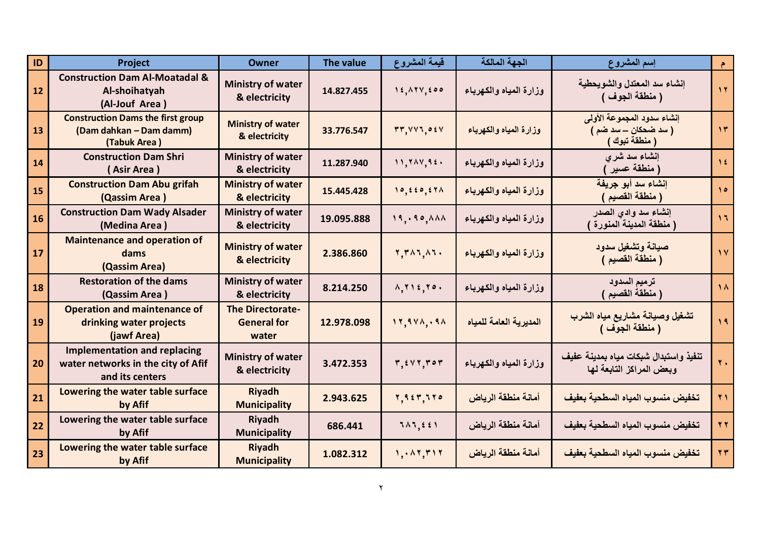| <b>ID</b> | Project                                                                                      | <b>Owner</b>                                           | The value  | قيمة المشروع                                  | الجهة المالكة          | إسم المشروع                                                            | $\bullet$         |
|-----------|----------------------------------------------------------------------------------------------|--------------------------------------------------------|------------|-----------------------------------------------|------------------------|------------------------------------------------------------------------|-------------------|
| 12        | <b>Construction Dam Al-Moatadal &amp;</b><br>Al-shoihatyah<br>(Al-Jouf Area)                 | <b>Ministry of water</b><br>& electricity              | 14.827.455 | 14,174,600                                    | وزارة المياه والكهرباء | إنشاء سد المعتدل والشويحطية<br>( منطقة الجوف )                         | $\mathbf{y}$      |
| 13        | <b>Construction Dams the first group</b><br>(Dam dahkan - Dam damm)<br>(Tabuk Area)          | <b>Ministry of water</b><br>& electricity              | 33.776.547 | rr, VVI, 0 V                                  | وزارة المياه والكهرباء | إنشاء سدود المجموعة الأولى<br>( سد ضحکان ـــ سد ضم )<br>( منطقة تبوك ) | $\gamma$ ۳        |
| 14        | <b>Construction Dam Shri</b><br>(Asir Area)                                                  | <b>Ministry of water</b><br>& electricity              | 11.287.940 | 11,711,92.                                    | وزارة المياه والكهرباء | إنشاء سد شرى<br>( منطقة عسير )                                         | $\sqrt{\epsilon}$ |
| 15        | <b>Construction Dam Abu grifah</b><br>(Qassim Area)                                          | <b>Ministry of water</b><br>& electricity              | 15.445.428 | 10, 220, 271                                  | وزارة المياه والكهرباء | إنشاء سد أبو جريفة<br>( منطقة القصيم )                                 | $\Delta$          |
| 16        | <b>Construction Dam Wady Alsader</b><br>(Medina Area)                                        | <b>Ministry of water</b><br>& electricity              | 19.095.888 | 19, .90, AAA                                  | وزارة المياه والكهرباء | إنشاء سد وادى الصدر<br>( منطقة المدينة المنورة )                       | 17                |
| 17        | <b>Maintenance and operation of</b><br>dams<br>(Qassim Area)                                 | <b>Ministry of water</b><br>& electricity              | 2.386.860  | $Y, Y \wedge Y, \wedge Y$                     | وزارة المياه والكهرباء | صيانة وتشغيل سدود<br>( منطقة القصيم )                                  | $\sqrt{2}$        |
| 18        | <b>Restoration of the dams</b><br>(Qassim Area)                                              | <b>Ministry of water</b><br>& electricity              | 8.214.250  | $\Lambda, \Upsilon$ ) $\epsilon, \Upsilon$ 0. | وزارة المياه والكهرباء | ترميم السدود<br>( منطقةُ القصيم )                                      | $\Lambda$         |
| 19        | <b>Operation and maintenance of</b><br>drinking water projects<br>(jawf Area)                | <b>The Directorate-</b><br><b>General for</b><br>water | 12.978.098 | 11, 941, 91                                   | المديرية العامة للمياه | تشغيل وصيانة مشاريع مياه الشرب<br>( منطقة الجوف )                      | $\sqrt{9}$        |
| 20        | <b>Implementation and replacing</b><br>water networks in the city of Afif<br>and its centers | <b>Ministry of water</b><br>& electricity              | 3.472.353  | $r, \text{for } r \geq r$                     | وزارة المياه والكهرباء | تنفيذ واستبدال شبكات مياه بمدينة عفيف<br>وبعض المراكز التابعة لها      | $\mathbf{Y}$ .    |
| 21        | Lowering the water table surface<br>by Afif                                                  | <b>Riyadh</b><br><b>Municipality</b>                   | 2.943.625  | Y, 9, 2, 7, 7, 7, 0                           | أمانة منطقة الرياض     | تخفيض منسوب المياه السطحية بعفيف                                       | $\mathbf{Y}$      |
| 22        | Lowering the water table surface<br>by Afif                                                  | <b>Riyadh</b><br><b>Municipality</b>                   | 686.441    | $111,551$                                     | أمانة منطقة الرياض     | تخفيض منسوب المياه السطحية بعفيف                                       | $\tau$            |
| 23        | Lowering the water table surface<br>by Afif                                                  | <b>Riyadh</b><br><b>Municipality</b>                   | 1.082.312  | 1, 1, 1, 7, 7                                 | أمانة منطقة الرياض     | تخفيض منسوب المياه السطحية بعفيف                                       | YY                |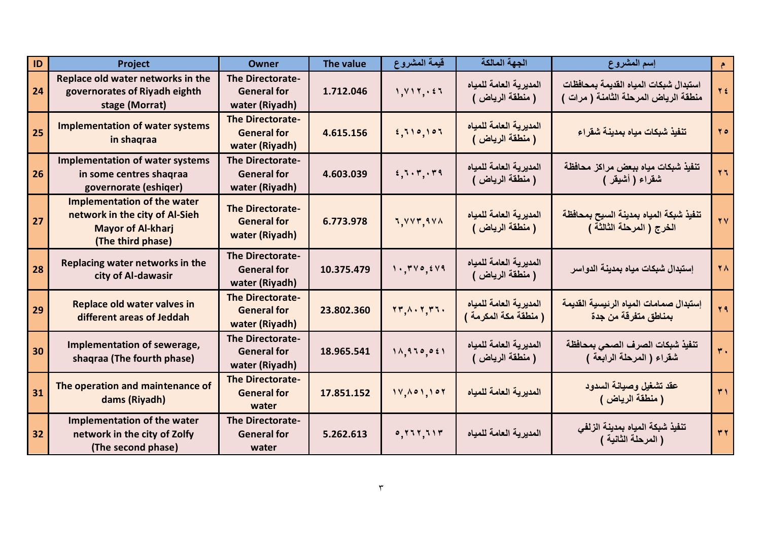| ID | Project                                                                                                               | <b>Owner</b>                                                    | <b>The value</b> | قيمة المشروع                                                                           | الجهة المالكة                                   | إسم المشروع                                                                    | $\uparrow$       |
|----|-----------------------------------------------------------------------------------------------------------------------|-----------------------------------------------------------------|------------------|----------------------------------------------------------------------------------------|-------------------------------------------------|--------------------------------------------------------------------------------|------------------|
| 24 | Replace old water networks in the<br>governorates of Riyadh eighth<br>stage (Morrat)                                  | The Directorate-<br><b>General for</b><br>water (Riyadh)        | 1.712.046        | 1, 117, 25                                                                             | المديرية العامة للمياه<br>( منطقة الرياض )      | استبدال شبكات المياه القديمة بمحافظات<br>منطقة الرياض المرحلة الثامنة ( مرات ) | Y f              |
| 25 | <b>Implementation of water systems</b><br>in shaqraa                                                                  | <b>The Directorate-</b><br><b>General for</b><br>water (Riyadh) | 4.615.156        | 5,710,107                                                                              | المديرية العامة للمياه<br>( منطقة الرياض )      | تنفيذ شبكات مياه بمدينة شقراع                                                  | $Y \circ$        |
| 26 | <b>Implementation of water systems</b><br>in some centres shaqraa<br>governorate (eshiqer)                            | <b>The Directorate-</b><br><b>General for</b><br>water (Riyadh) | 4.603.039        | 1, 5, 7, 7, 7, 7                                                                       | المديرية العامة للمياه<br>( منطقة الرياض )      | تنفيذ شبكات مياه ببعض مراكز محافظة<br>شقراء ( أشيقر )                          | $\mathbf{y}$     |
| 27 | <b>Implementation of the water</b><br>network in the city of Al-Sieh<br><b>Mayor of Al-kharj</b><br>(The third phase) | <b>The Directorate-</b><br><b>General for</b><br>water (Riyadh) | 6.773.978        | 7,777,971                                                                              | المديرية العامة للمياه<br>( منطقة الرياض )      | تنفيذ شبكة المياه بمدينة السيح بمحافظة<br>الخرج ( المرحلة الثالثة )            | $\forall$        |
| 28 | Replacing water networks in the<br>city of Al-dawasir                                                                 | The Directorate-<br><b>General for</b><br>water (Riyadh)        | 10.375.479       | 1.740,144                                                                              | المديرية العامة للمياه<br>( منطقة الرياض )      | إستبدال شبكات مياه بمدينة الدواسر                                              | $\mathbf{Y}$     |
| 29 | Replace old water valves in<br>different areas of Jeddah                                                              | <b>The Directorate-</b><br><b>General for</b><br>water (Riyadh) | 23.802.360       | $\mathbf{Y}\mathbf{y}, \mathbf{A}\cdot\mathbf{Y}, \mathbf{Y}\mathbf{Y}\cdot\mathbf{Y}$ | المديرية العامة للمياه<br>( منطقة مكة المكرمة ) | إستبدال صمامات المياه الرئيسية القديمة<br>بمناطق متفرقة من جدة                 | 79               |
| 30 | Implementation of sewerage,<br>shaqraa (The fourth phase)                                                             | <b>The Directorate-</b><br><b>General for</b><br>water (Riyadh) | 18.965.541       | 11, 970, 021                                                                           | المديرية العامة للمياه<br>( منطقة الرياض )      | تنفيذ شبكات الصرف الصحي بمحافظة<br>شقراء ( المرحلة الرابعة )                   | $\overline{r}$ . |
| 31 | The operation and maintenance of<br>dams (Riyadh)                                                                     | <b>The Directorate-</b><br><b>General for</b><br>water          | 17.851.152       | 11,001,101                                                                             | المديرية العامة للمياه                          | عقد تشغيل وصيانة السدود<br>( منطقة الرياض )                                    | $\overline{r}$   |
| 32 | Implementation of the water<br>network in the city of Zolfy<br>(The second phase)                                     | <b>The Directorate-</b><br><b>General for</b><br>water          | 5.262.613        | 0, 111, 111                                                                            | المديرية العامة للمياه                          | تنفيذ شبكة المياه بمدينة الزلفي<br>( المرحلة الثانية )                         | $\forall$        |